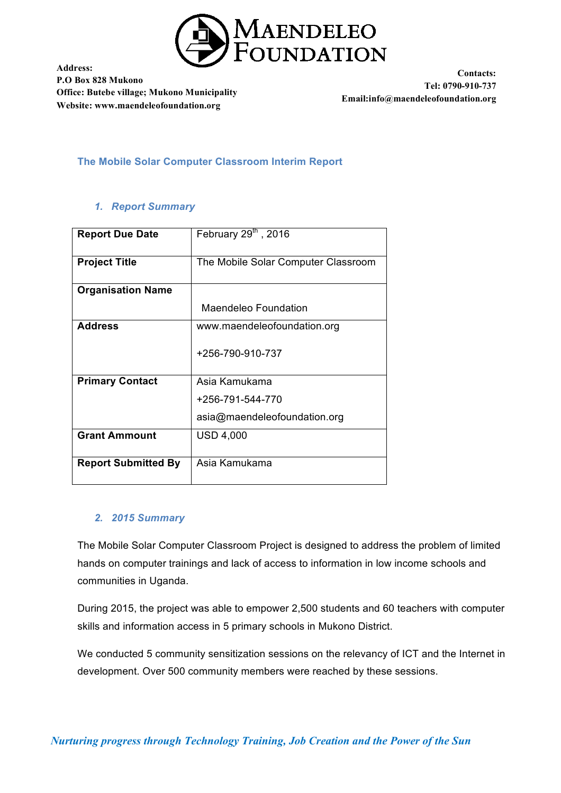

**Contacts: Tel: 0790-910-737 Email:info@maendeleofoundation.org**

**The Mobile Solar Computer Classroom Interim Report**

### *1. Report Summary*

| <b>Report Due Date</b>     | February 29 <sup>th</sup> , 2016    |
|----------------------------|-------------------------------------|
| <b>Project Title</b>       | The Mobile Solar Computer Classroom |
| <b>Organisation Name</b>   |                                     |
|                            | Maendeleo Foundation                |
| <b>Address</b>             | www.maendeleofoundation.org         |
|                            | +256-790-910-737                    |
| <b>Primary Contact</b>     | Asia Kamukama                       |
|                            | +256-791-544-770                    |
|                            | asia@maendeleofoundation.org        |
| <b>Grant Ammount</b>       | <b>USD 4,000</b>                    |
|                            |                                     |
| <b>Report Submitted By</b> | Asia Kamukama                       |

## *2. 2015 Summary*

The Mobile Solar Computer Classroom Project is designed to address the problem of limited hands on computer trainings and lack of access to information in low income schools and communities in Uganda.

During 2015, the project was able to empower 2,500 students and 60 teachers with computer skills and information access in 5 primary schools in Mukono District.

We conducted 5 community sensitization sessions on the relevancy of ICT and the Internet in development. Over 500 community members were reached by these sessions.

*Nurturing progress through Technology Training, Job Creation and the Power of the Sun*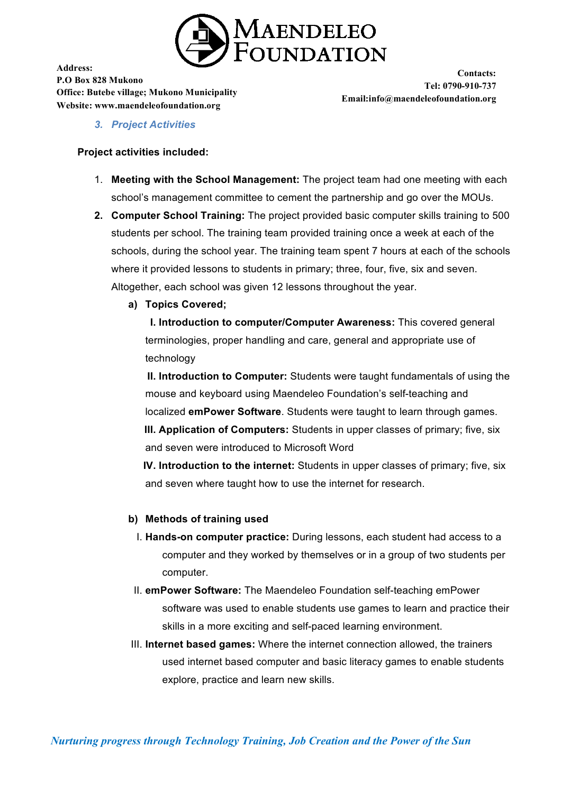

**Contacts: Tel: 0790-910-737 Email:info@maendeleofoundation.org**

*3. Project Activities*

#### **Project activities included:**

- 1. **Meeting with the School Management:** The project team had one meeting with each school's management committee to cement the partnership and go over the MOUs.
- **2. Computer School Training:** The project provided basic computer skills training to 500 students per school. The training team provided training once a week at each of the schools, during the school year. The training team spent 7 hours at each of the schools where it provided lessons to students in primary; three, four, five, six and seven. Altogether, each school was given 12 lessons throughout the year.
	- **a) Topics Covered;**

**I. Introduction to computer/Computer Awareness:** This covered general terminologies, proper handling and care, general and appropriate use of technology

**II. Introduction to Computer:** Students were taught fundamentals of using the mouse and keyboard using Maendeleo Foundation's self-teaching and localized **emPower Software**. Students were taught to learn through games. **III. Application of Computers:** Students in upper classes of primary; five, six and seven were introduced to Microsoft Word

**IV. Introduction to the internet:** Students in upper classes of primary; five, six and seven where taught how to use the internet for research.

#### **b) Methods of training used**

- I. **Hands-on computer practice:** During lessons, each student had access to a computer and they worked by themselves or in a group of two students per computer.
- II. **emPower Software:** The Maendeleo Foundation self-teaching emPower software was used to enable students use games to learn and practice their skills in a more exciting and self-paced learning environment.
- III. **Internet based games:** Where the internet connection allowed, the trainers used internet based computer and basic literacy games to enable students explore, practice and learn new skills.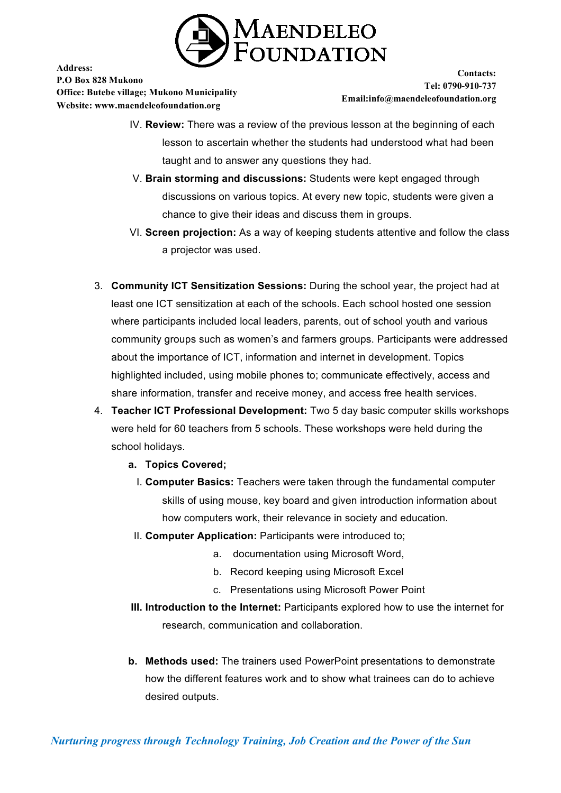

**Contacts: Tel: 0790-910-737 Email:info@maendeleofoundation.org**

- IV. **Review:** There was a review of the previous lesson at the beginning of each lesson to ascertain whether the students had understood what had been taught and to answer any questions they had.
- V. **Brain storming and discussions:** Students were kept engaged through discussions on various topics. At every new topic, students were given a chance to give their ideas and discuss them in groups.
- VI. **Screen projection:** As a way of keeping students attentive and follow the class a projector was used.
- 3. **Community ICT Sensitization Sessions:** During the school year, the project had at least one ICT sensitization at each of the schools. Each school hosted one session where participants included local leaders, parents, out of school youth and various community groups such as women's and farmers groups. Participants were addressed about the importance of ICT, information and internet in development. Topics highlighted included, using mobile phones to; communicate effectively, access and share information, transfer and receive money, and access free health services.
- 4. **Teacher ICT Professional Development:** Two 5 day basic computer skills workshops were held for 60 teachers from 5 schools. These workshops were held during the school holidays.
	- **a. Topics Covered;**
		- I. **Computer Basics:** Teachers were taken through the fundamental computer skills of using mouse, key board and given introduction information about how computers work, their relevance in society and education.
	- II. **Computer Application:** Participants were introduced to;
		- a. documentation using Microsoft Word,
		- b. Record keeping using Microsoft Excel
		- c. Presentations using Microsoft Power Point
	- **III. Introduction to the Internet:** Participants explored how to use the internet for research, communication and collaboration.
	- **b. Methods used:** The trainers used PowerPoint presentations to demonstrate how the different features work and to show what trainees can do to achieve desired outputs.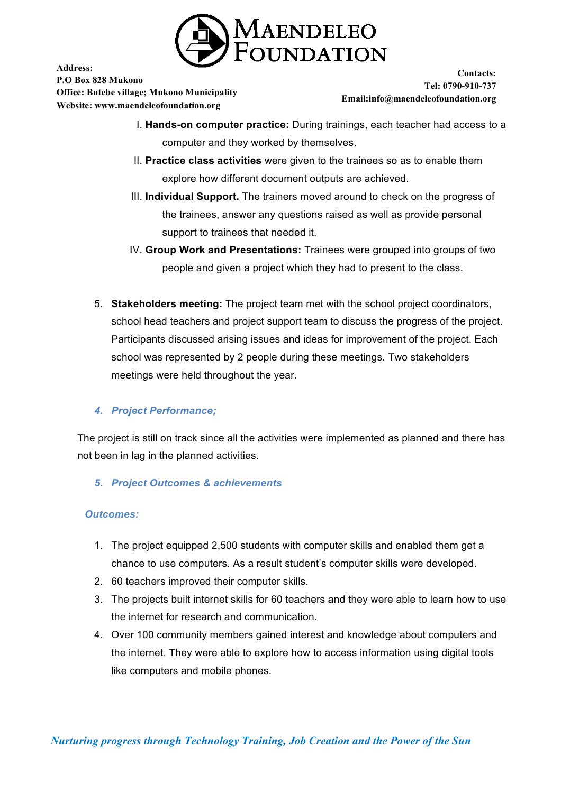

**Address: P.O Box 828 Mukono**

**Office: Butebe village; Mukono Municipality Website: www.maendeleofoundation.org**

**Contacts: Tel: 0790-910-737 Email:info@maendeleofoundation.org**

- I. **Hands-on computer practice:** During trainings, each teacher had access to a computer and they worked by themselves.
- II. **Practice class activities** were given to the trainees so as to enable them explore how different document outputs are achieved.
- III. **Individual Support.** The trainers moved around to check on the progress of the trainees, answer any questions raised as well as provide personal support to trainees that needed it.
- IV. **Group Work and Presentations:** Trainees were grouped into groups of two people and given a project which they had to present to the class.
- 5. **Stakeholders meeting:** The project team met with the school project coordinators, school head teachers and project support team to discuss the progress of the project. Participants discussed arising issues and ideas for improvement of the project. Each school was represented by 2 people during these meetings. Two stakeholders meetings were held throughout the year.

# *4. Project Performance;*

The project is still on track since all the activities were implemented as planned and there has not been in lag in the planned activities.

*5. Project Outcomes & achievements*

## *Outcomes:*

- 1. The project equipped 2,500 students with computer skills and enabled them get a chance to use computers. As a result student's computer skills were developed.
- 2. 60 teachers improved their computer skills.
- 3. The projects built internet skills for 60 teachers and they were able to learn how to use the internet for research and communication.
- 4. Over 100 community members gained interest and knowledge about computers and the internet. They were able to explore how to access information using digital tools like computers and mobile phones.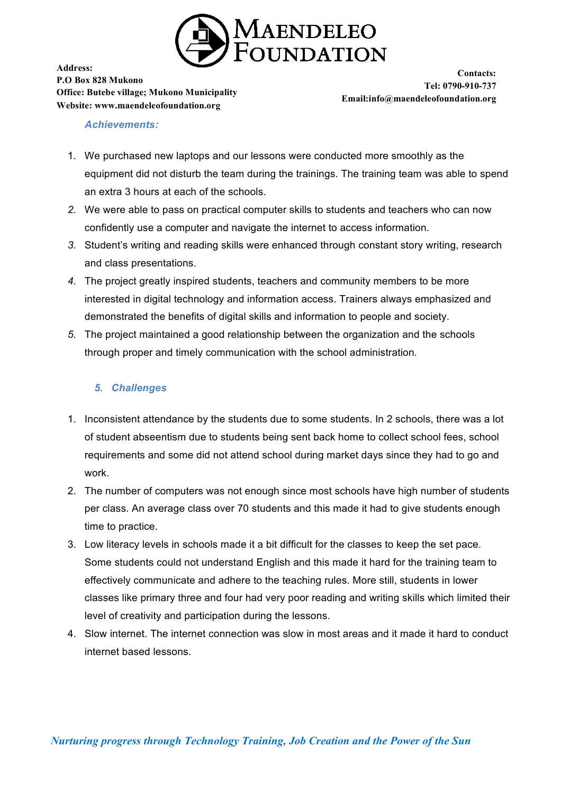

**Contacts: Tel: 0790-910-737 Email:info@maendeleofoundation.org**

### *Achievements:*

- 1. We purchased new laptops and our lessons were conducted more smoothly as the equipment did not disturb the team during the trainings. The training team was able to spend an extra 3 hours at each of the schools.
- *2.* We were able to pass on practical computer skills to students and teachers who can now confidently use a computer and navigate the internet to access information.
- *3.* Student's writing and reading skills were enhanced through constant story writing, research and class presentations.
- *4.* The project greatly inspired students, teachers and community members to be more interested in digital technology and information access. Trainers always emphasized and demonstrated the benefits of digital skills and information to people and society.
- *5.* The project maintained a good relationship between the organization and the schools through proper and timely communication with the school administration*.*

## *5. Challenges*

- 1. Inconsistent attendance by the students due to some students. In 2 schools, there was a lot of student abseentism due to students being sent back home to collect school fees, school requirements and some did not attend school during market days since they had to go and work.
- 2. The number of computers was not enough since most schools have high number of students per class. An average class over 70 students and this made it had to give students enough time to practice.
- 3. Low literacy levels in schools made it a bit difficult for the classes to keep the set pace. Some students could not understand English and this made it hard for the training team to effectively communicate and adhere to the teaching rules. More still, students in lower classes like primary three and four had very poor reading and writing skills which limited their level of creativity and participation during the lessons.
- 4. Slow internet. The internet connection was slow in most areas and it made it hard to conduct internet based lessons.